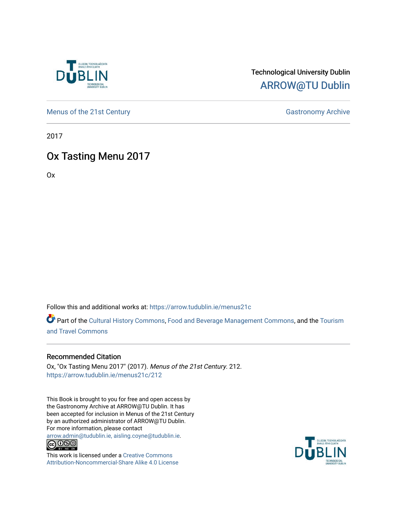

## Technological University Dublin [ARROW@TU Dublin](https://arrow.tudublin.ie/)

[Menus of the 21st Century](https://arrow.tudublin.ie/menus21c) Gastronomy Archive

2017

# Ox Tasting Menu 2017

Ox

Follow this and additional works at: [https://arrow.tudublin.ie/menus21c](https://arrow.tudublin.ie/menus21c?utm_source=arrow.tudublin.ie%2Fmenus21c%2F212&utm_medium=PDF&utm_campaign=PDFCoverPages) 

Part of the [Cultural History Commons](http://network.bepress.com/hgg/discipline/496?utm_source=arrow.tudublin.ie%2Fmenus21c%2F212&utm_medium=PDF&utm_campaign=PDFCoverPages), [Food and Beverage Management Commons,](http://network.bepress.com/hgg/discipline/1089?utm_source=arrow.tudublin.ie%2Fmenus21c%2F212&utm_medium=PDF&utm_campaign=PDFCoverPages) and the [Tourism](http://network.bepress.com/hgg/discipline/1082?utm_source=arrow.tudublin.ie%2Fmenus21c%2F212&utm_medium=PDF&utm_campaign=PDFCoverPages) [and Travel Commons](http://network.bepress.com/hgg/discipline/1082?utm_source=arrow.tudublin.ie%2Fmenus21c%2F212&utm_medium=PDF&utm_campaign=PDFCoverPages)

#### Recommended Citation

Ox, "Ox Tasting Menu 2017" (2017). Menus of the 21st Century. 212. [https://arrow.tudublin.ie/menus21c/212](https://arrow.tudublin.ie/menus21c/212?utm_source=arrow.tudublin.ie%2Fmenus21c%2F212&utm_medium=PDF&utm_campaign=PDFCoverPages) 

This Book is brought to you for free and open access by the Gastronomy Archive at ARROW@TU Dublin. It has been accepted for inclusion in Menus of the 21st Century by an authorized administrator of ARROW@TU Dublin. For more information, please contact

[arrow.admin@tudublin.ie, aisling.coyne@tudublin.ie](mailto:arrow.admin@tudublin.ie,%20aisling.coyne@tudublin.ie).<br>
© 0 9 9 1



This work is licensed under a [Creative Commons](http://creativecommons.org/licenses/by-nc-sa/4.0/) [Attribution-Noncommercial-Share Alike 4.0 License](http://creativecommons.org/licenses/by-nc-sa/4.0/)

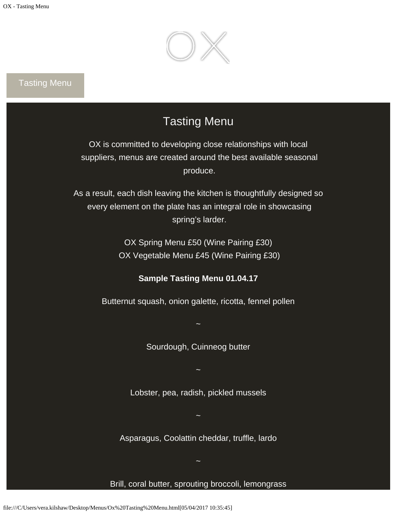

## Tasting Menu

# Tasting Menu

OX is committed to developing close relationships with local suppliers, menus are created around the best available seasonal produce.

As a result, each dish leaving the kitchen is thoughtfully designed so every element on the plate has an integral role in showcasing spring's larder.

> OX Spring Menu £50 (Wine Pairing £30) OX Vegetable Menu £45 (Wine Pairing £30)

#### **Sample Tasting Menu 01.04.17**

Butternut squash, onion galette, ricotta, fennel pollen

~

Sourdough, Cuinneog butter

Lobster, pea, radish, pickled mussels

~

Asparagus, Coolattin cheddar, truffle, lardo

~

### Brill, coral butter, sprouting broccoli, lemongrass

~